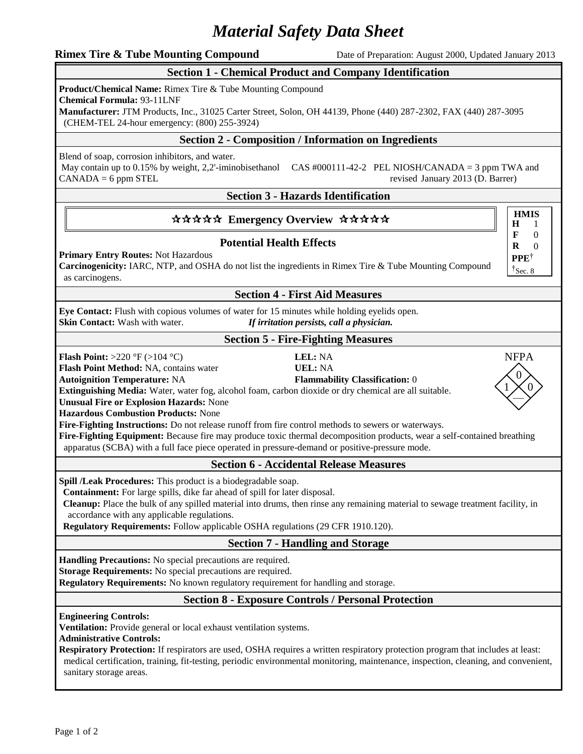# *Material Safety Data Sheet*

**Rimex Tire & Tube Mounting Compound** Date of Preparation: August 2000, Updated January 2013

# **Section 1 - Chemical Product and Company Identification**

**Product/Chemical Name:** Rimex Tire & Tube Mounting Compound

**Chemical Formula:** 93-11LNF

**Manufacturer:** JTM Products, Inc., 31025 Carter Street, Solon, OH 44139, Phone (440) 287-2302, FAX (440) 287-3095 (CHEM-TEL 24-hour emergency: (800) 255-3924)

# **Section 2 - Composition / Information on Ingredients**

Blend of soap, corrosion inhibitors, and water.

May contain up to 0.15% by weight, 2,2'-iminobisethanol CAS #000111-42-2 PEL NIOSH/CANADA = 3 ppm TWA and  $CANADA = 6 ppm STEL$  revised January 2013 (D. Barrer)

# **Section 3 - Hazards Identification**

# \*\*\*\*\* Emergency Overview \*\*\*\*\*

# **Potential Health Effects**

**Primary Entry Routes:** Not Hazardous

**Carcinogenicity:** IARC, NTP, and OSHA do not list the ingredients in Rimex Tire & Tube Mounting Compound as carcinogens.

# **Section 4 - First Aid Measures**

**Eye Contact:** Flush with copious volumes of water for 15 minutes while holding eyelids open. **Skin Contact:** Wash with water. *If irritation persists, call a physician.*

#### **Section 5 - Fire-Fighting Measures**

**Flash Point:** >220 °F (>104 °C) **LEL:** NA

**Flash Point Method:** NA, contains water **UEL:** NA

**Autoignition Temperature:** NA **Flammability Classification:** 0

**Extinguishing Media:** Water, water fog, alcohol foam, carbon dioxide or dry chemical are all suitable.

**Unusual Fire or Explosion Hazards:** None

**Hazardous Combustion Products:** None

**Fire-Fighting Instructions:** Do not release runoff from fire control methods to sewers or waterways.

**Fire-Fighting Equipment:** Because fire may produce toxic thermal decomposition products, wear a self-contained breathing apparatus (SCBA) with a full face piece operated in pressure-demand or positive-pressure mode.

# **Section 6 - Accidental Release Measures**

**Spill /Leak Procedures:** This product is a biodegradable soap.

**Containment:** For large spills, dike far ahead of spill for later disposal.

**Cleanup:** Place the bulk of any spilled material into drums, then rinse any remaining material to sewage treatment facility, in accordance with any applicable regulations.

**Regulatory Requirements:** Follow applicable OSHA regulations (29 CFR 1910.120).

# **Section 7 - Handling and Storage**

**Handling Precautions:** No special precautions are required.

**Storage Requirements:** No special precautions are required.

**Regulatory Requirements:** No known regulatory requirement for handling and storage.

# **Section 8 - Exposure Controls / Personal Protection**

**Engineering Controls:**

**Ventilation:** Provide general or local exhaust ventilation systems.

**Administrative Controls:**

**Respiratory Protection:** If respirators are used, OSHA requires a written respiratory protection program that includes at least: medical certification, training, fit-testing, periodic environmental monitoring, maintenance, inspection, cleaning, and convenient, sanitary storage areas.

**H F R** 1 0 0 **PPE**†  $\dagger$ Sec. 8

**HMIS**

—  $\Omega$  $1 \times 0$ NFPA